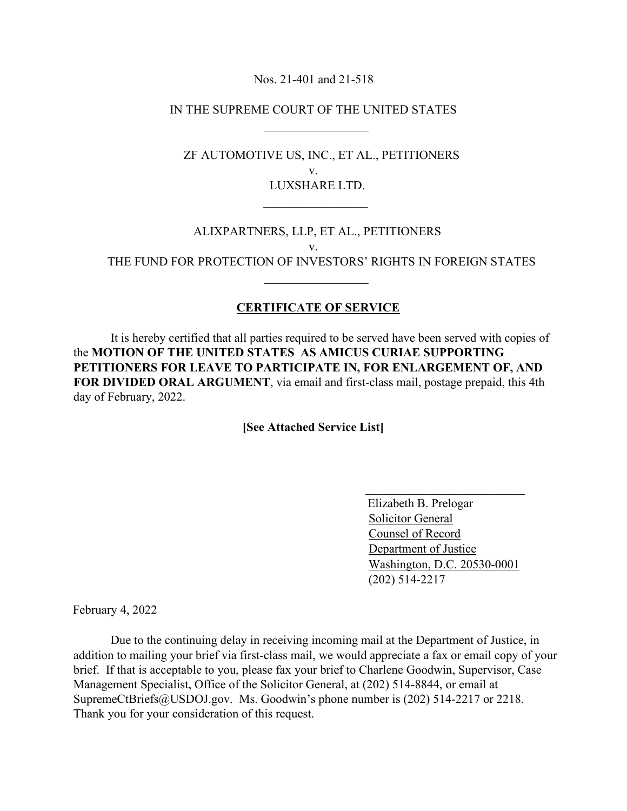Nos. 21-401 and 21-518

IN THE SUPREME COURT OF THE UNITED STATES

 $\mathcal{L}_\text{max}$  , which is a set of the set of the set of the set of the set of the set of the set of the set of the set of the set of the set of the set of the set of the set of the set of the set of the set of the set of

 $\mathcal{L}_\mathcal{L}$  , which is a set of the set of the set of the set of the set of the set of the set of the set of the set of the set of the set of the set of the set of the set of the set of the set of the set of the set of

 $\mathcal{L}_\mathcal{L}$  , which is a set of the set of the set of the set of the set of the set of the set of the set of the set of the set of the set of the set of the set of the set of the set of the set of the set of the set of

 ZF AUTOMOTIVE US, INC., ET AL., PETITIONERS v. LUXSHARE LTD.

 ALIXPARTNERS, LLP, ET AL., PETITIONERS v. THE FUND FOR PROTECTION OF INVESTORS' RIGHTS IN FOREIGN STATES

## **CERTIFICATE OF SERVICE**

 It is hereby certified that all parties required to be served have been served with copies of the **MOTION OF THE UNITED STATES AS AMICUS CURIAE SUPPORTING PETITIONERS FOR LEAVE TO PARTICIPATE IN, FOR ENLARGEMENT OF, AND FOR DIVIDED ORAL ARGUMENT**, via email and first-class mail, postage prepaid, this 4th day of February, 2022.

**[See Attached Service List]** 

 Elizabeth B. Prelogar Solicitor General Counsel of Record Department of Justice Washington, D.C. 20530-0001 (202) 514-2217

February 4, 2022

 Due to the continuing delay in receiving incoming mail at the Department of Justice, in addition to mailing your brief via first-class mail, we would appreciate a fax or email copy of your brief. If that is acceptable to you, please fax your brief to Charlene Goodwin, Supervisor, Case Management Specialist, Office of the Solicitor General, at (202) 514-8844, or email at SupremeCtBriefs@USDOJ.gov. Ms. Goodwin's phone number is (202) 514-2217 or 2218. Thank you for your consideration of this request.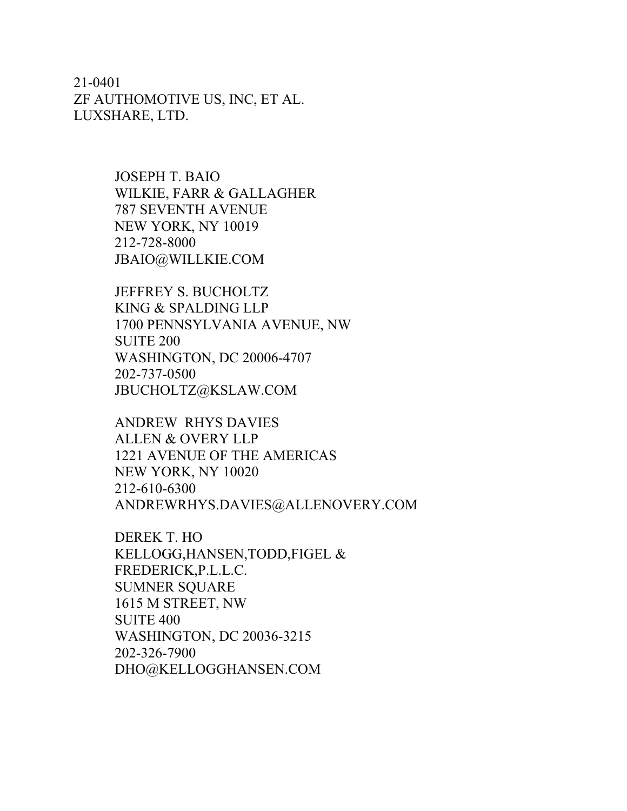21-0401 ZF AUTHOMOTIVE US, INC, ET AL. LUXSHARE, LTD.

> JOSEPH T. BAIO WILKIE, FARR & GALLAGHER 787 SEVENTH AVENUE NEW YORK, NY 10019 212-728-8000 JBAIO@WILLKIE.COM

JEFFREY S. BUCHOLTZ KING & SPALDING LLP 1700 PENNSYLVANIA AVENUE, NW SUITE 200 WASHINGTON, DC 20006-4707 202-737-0500 JBUCHOLTZ@KSLAW.COM

ANDREW RHYS DAVIES ALLEN & OVERY LLP 1221 AVENUE OF THE AMERICAS NEW YORK, NY 10020 212-610-6300 ANDREWRHYS.DAVIES@ALLENOVERY.COM

DEREK T. HO KELLOGG,HANSEN,TODD,FIGEL & FREDERICK,P.L.L.C. SUMNER SQUARE 1615 M STREET, NW SUITE 400 WASHINGTON, DC 20036-3215 202-326-7900 DHO@KELLOGGHANSEN.COM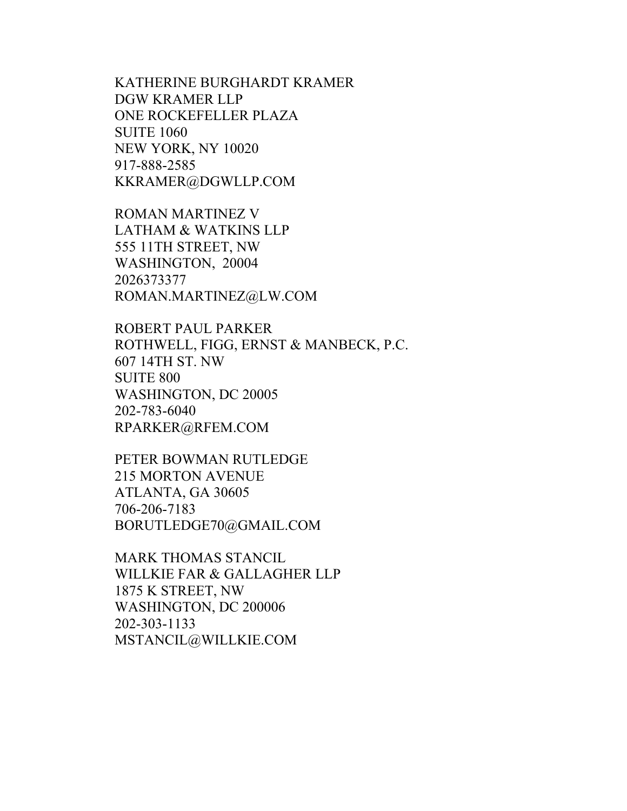KATHERINE BURGHARDT KRAMER DGW KRAMER LLP ONE ROCKEFELLER PLAZA SUITE 1060 NEW YORK, NY 10020 917-888-2585 KKRAMER@DGWLLP.COM

ROMAN MARTINEZ V LATHAM & WATKINS LLP 555 11TH STREET, NW WASHINGTON, 20004 2026373377 ROMAN.MARTINEZ@LW.COM

ROBERT PAUL PARKER ROTHWELL, FIGG, ERNST & MANBECK, P.C. 607 14TH ST. NW SUITE 800 WASHINGTON, DC 20005 202-783-6040 RPARKER@RFEM.COM

PETER BOWMAN RUTLEDGE 215 MORTON AVENUE ATLANTA, GA 30605 706-206-7183 BORUTLEDGE70@GMAIL.COM

MARK THOMAS STANCIL WILLKIE FAR & GALLAGHER LLP 1875 K STREET, NW WASHINGTON, DC 200006 202-303-1133 MSTANCIL@WILLKIE.COM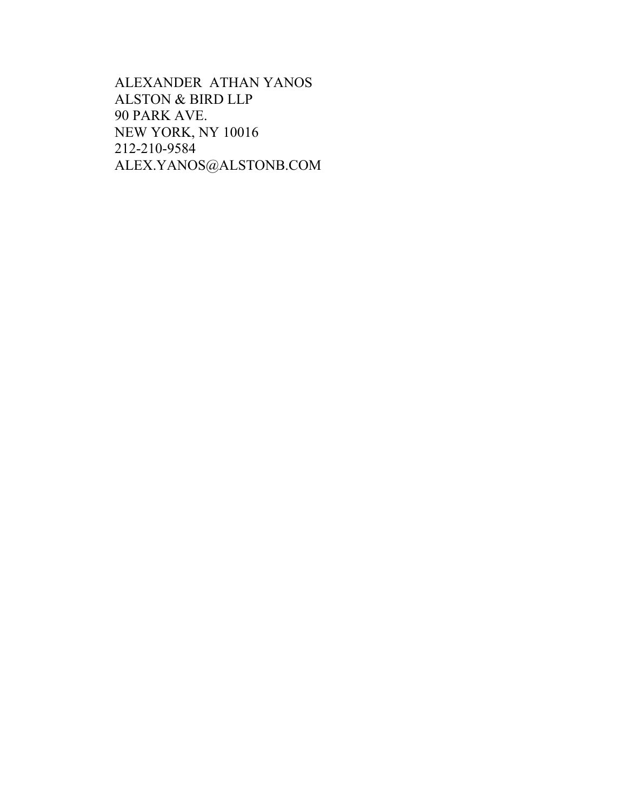ALEXANDER ATHAN YANOS ALSTON & BIRD LLP 90 PARK AVE. NEW YORK, NY 10016 212-210-9584 ALEX.YANOS@ALSTONB.COM